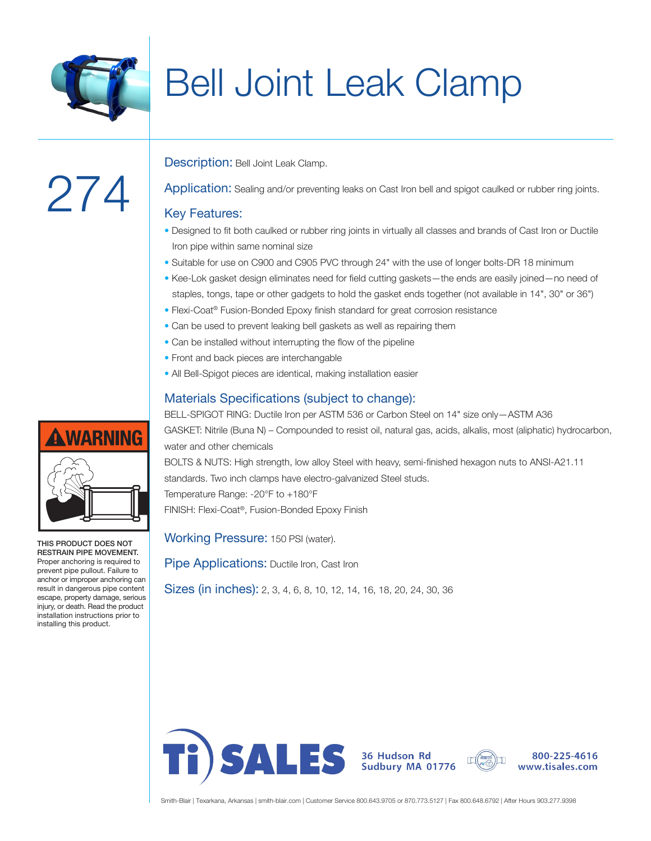

## Bell Joint Leak Clamp

# 274

Description: Bell Joint Leak Clamp.

Application: Sealing and/or preventing leaks on Cast Iron bell and spigot caulked or rubber ring joints.

#### Key Features:

- Designed to fit both caulked or rubber ring joints in virtually all classes and brands of Cast Iron or Ductile Iron pipe within same nominal size
- Suitable for use on C900 and C905 PVC through 24" with the use of longer bolts-DR 18 minimum
- Kee-Lok gasket design eliminates need for field cutting gaskets—the ends are easily joined—no need of staples, tongs, tape or other gadgets to hold the gasket ends together (not available in 14", 30" or 36")
- Flexi-Coat® Fusion-Bonded Epoxy finish standard for great corrosion resistance
- Can be used to prevent leaking bell gaskets as well as repairing them
- Can be installed without interrupting the flow of the pipeline
- Front and back pieces are interchangable
- All Bell-Spigot pieces are identical, making installation easier

### Materials Specifications (subject to change):

BELL-SPIGOT RING: Ductile Iron per ASTM 536 or Carbon Steel on 14" size only—ASTM A36 GASKET: Nitrile (Buna N) – Compounded to resist oil, natural gas, acids, alkalis, most (aliphatic) hydrocarbon, water and other chemicals

BOLTS & NUTS: High strength, low alloy Steel with heavy, semi-finished hexagon nuts to ANSI-A21.11 standards. Two inch clamps have electro-galvanized Steel studs. Temperature Range: -20°F to +180°F

FINISH: Flexi-Coat®, Fusion-Bonded Epoxy Finish

Working Pressure: 150 PSI (water).

Pipe Applications: Ductile Iron, Cast Iron

Sizes (in inches): 2, 3, 4, 6, 8, 10, 12, 14, 16, 18, 20, 24, 30, 36



**A WARNING** 

THIS PRODUCT DOES NOT RESTRAIN PIPE MOVEMENT. Proper anchoring is required to prevent pipe pullout. Failure to anchor or improper anchoring can result in dangerous pipe content escape, property damage, serious injury, or death. Read the product installation instructions prior to installing this product.